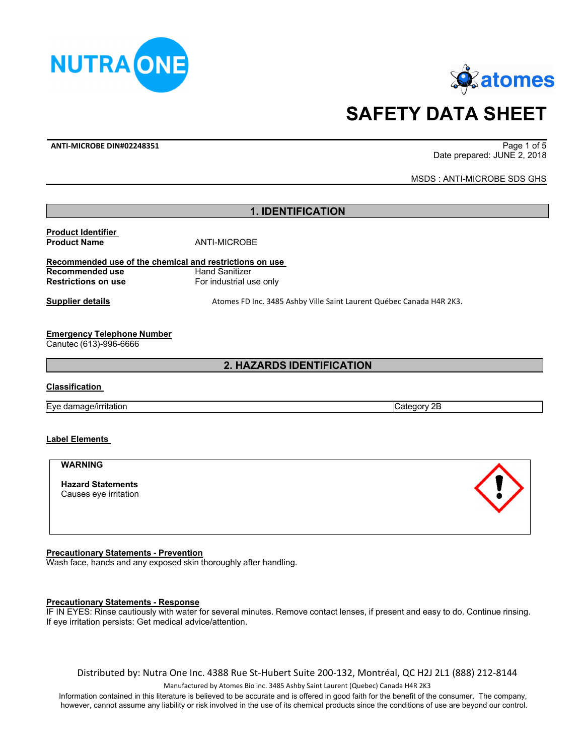



# **SAFETY DATA SHEET**

**ANTI‐MICROBE DIN#02248351**  Page 1 of 5

Date prepared: JUNE 2, 2018

MSDS : ANTI-MICROBE SDS GHS

#### **1. IDENTIFICATION**

**Product Identifier Product Name** ANTI-MICROBE

#### **Recommended use of the chemical and restrictions on use Recommended use Example 3 Hand Sanitizer Restrictions on use For industrial use only**

**Supplier details Supplier details Atomes FD Inc. 3485 Ashby Ville Saint Laurent Québec Canada H4R 2K3.** 

#### **Emergency Telephone Number**

Canutec (613)-996-6666

**2. HAZARDS IDENTIFICATION**

#### **Classification**

Eye damage/irritation extensive contract that the contract of the category 2B

### **Label Elements**

#### **WARNING**

**Hazard Statements** Causes eye irritation

#### **Precautionary Statements - Prevention**

Wash face, hands and any exposed skin thoroughly after handling.

#### **Precautionary Statements - Response**

IF IN EYES: Rinse cautiously with water for several minutes. Remove contact lenses, if present and easy to do. Continue rinsing. If eye irritation persists: Get medical advice/attention.

Distributed by: Nutra One Inc. 4388 Rue St‐Hubert Suite 200‐132, Montréal, QC H2J 2L1 (888) 212‐8144

Manufactured by Atomes Bio inc. 3485 Ashby Saint Laurent (Quebec) Canada H4R 2K3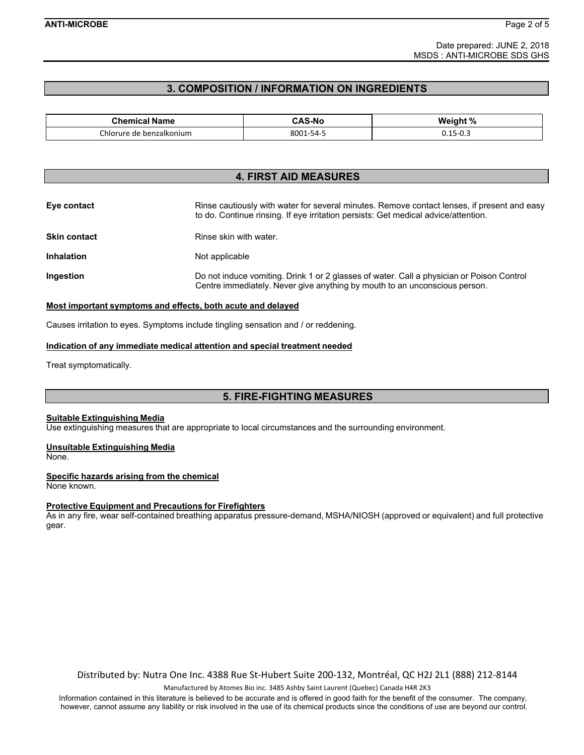Date prepared: JUNE 2, 2018 MSDS : ANTI-MICROBE SDS GHS

#### **3. COMPOSITION / INFORMATION ON INGREDIENTS**

| Chemical Name<br>.                          | <b>\S-N</b> c<br>.<br>______ | Weight %<br>70                                                  |
|---------------------------------------------|------------------------------|-----------------------------------------------------------------|
| Chlorure :<br>benzalkonium<br>de<br>_______ | 8001<br>1-54-<br>-<br>$\sim$ | $\sim$<br>$\overline{\phantom{0}}$<br>∟.ט−י<br>◡.⊥◡<br>__<br>__ |

#### **4. FIRST AID MEASURES**

| Eye contact         | Rinse cautiously with water for several minutes. Remove contact lenses, if present and easy<br>to do. Continue rinsing. If eye irritation persists: Get medical advice/attention. |
|---------------------|-----------------------------------------------------------------------------------------------------------------------------------------------------------------------------------|
| <b>Skin contact</b> | Rinse skin with water.                                                                                                                                                            |
| <b>Inhalation</b>   | Not applicable                                                                                                                                                                    |
| <b>Ingestion</b>    | Do not induce vomiting. Drink 1 or 2 glasses of water. Call a physician or Poison Control<br>Centre immediately. Never give anything by mouth to an unconscious person.           |

#### **Most important symptoms and effects, both acute and delayed**

Causes irritation to eyes. Symptoms include tingling sensation and / or reddening.

#### **Indication of any immediate medical attention and special treatment needed**

Treat symptomatically.

#### **5. FIRE-FIGHTING MEASURES**

#### **Suitable Extinguishing Media**

Use extinguishing measures that are appropriate to local circumstances and the surrounding environment.

#### **Unsuitable Extinguishing Media**

None.

#### **Specific hazards arising from the chemical**

None known.

#### **Protective Equipment and Precautions for Firefighters**

As in any fire, wear self-contained breathing apparatus pressure-demand, MSHA/NIOSH (approved or equivalent) and full protective gear.

Distributed by: Nutra One Inc. 4388 Rue St‐Hubert Suite 200‐132, Montréal, QC H2J 2L1 (888) 212‐8144

Manufactured by Atomes Bio inc. 3485 Ashby Saint Laurent (Quebec) Canada H4R 2K3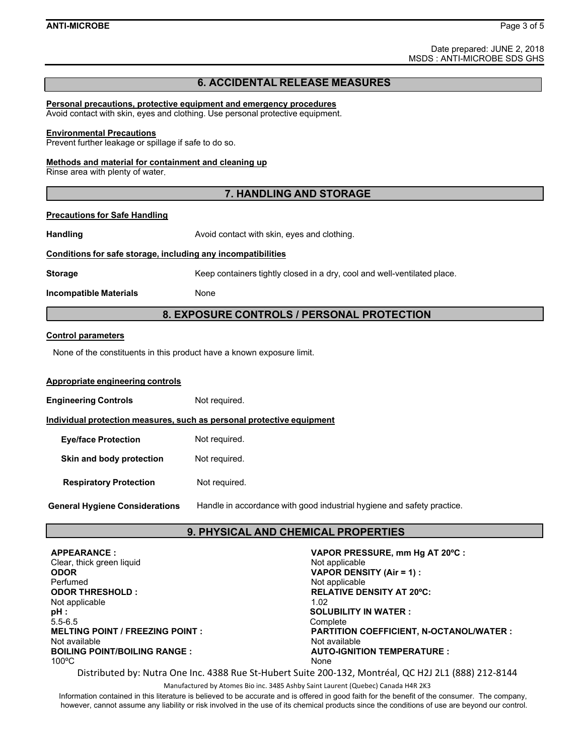Date prepared: JUNE 2, 2018 MSDS : ANTI-MICROBE SDS GHS

#### **6. ACCIDENTAL RELEASE MEASURES**

#### **Personal precautions, protective equipment and emergency procedures**

Avoid contact with skin, eyes and clothing. Use personal protective equipment.

#### **Environmental Precautions**

Prevent further leakage or spillage if safe to do so.

#### **Methods and material for containment and cleaning up**

Rinse area with plenty of water.

#### **7. HANDLING AND STORAGE**

#### **Precautions for Safe Handling**

**Handling Handling Avoid contact with skin, eyes and clothing.** 

#### **Conditions for safe storage, including any incompatibilities**

**Storage Example 20 Storage Storage Storage Storage Storage Storage Storage Storage Storage Storage Storage Stor** 

**Incompatible Materials None** 

#### **8. EXPOSURE CONTROLS / PERSONAL PROTECTION**

#### **Control parameters**

None of the constituents in this product have a known exposure limit.

#### **Appropriate engineering controls**

**Engineering Controls Not required.** 

**Individual protection measures, such as personal protective equipment**

| <b>Eye/face Protection</b>            | Not required.                                                          |
|---------------------------------------|------------------------------------------------------------------------|
| Skin and body protection              | Not required.                                                          |
| <b>Respiratory Protection</b>         | Not required.                                                          |
| <b>General Hygiene Considerations</b> | Handle in accordance with good industrial hygiene and safety practice. |

#### **9. PHYSICAL AND CHEMICAL PROPERTIES**

| <b>APPEARANCE:</b>                      | VAPOR PRESSURE, mm Hg AT 20°C :          |
|-----------------------------------------|------------------------------------------|
| Clear, thick green liquid               | Not applicable                           |
| <b>ODOR</b>                             | VAPOR DENSITY (Air = 1) :                |
| Perfumed                                | Not applicable                           |
| <b>ODOR THRESHOLD:</b>                  | <b>RELATIVE DENSITY AT 20°C:</b>         |
| Not applicable                          | 1.02                                     |
| pH:                                     | <b>SOLUBILITY IN WATER:</b>              |
| $5.5 - 6.5$                             | Complete                                 |
| <b>MELTING POINT / FREEZING POINT :</b> | PARTITION COEFFICIENT, N-OCTANOL/WATER : |
| Not available                           | Not available                            |
| <b>BOILING POINT/BOILING RANGE:</b>     | <b>AUTO-IGNITION TEMPERATURE:</b>        |
| $100^{\circ}$ C                         | None                                     |

Distributed by: Nutra One Inc. 4388 Rue St‐Hubert Suite 200‐132, Montréal, QC H2J 2L1 (888) 212‐8144

Manufactured by Atomes Bio inc. 3485 Ashby Saint Laurent (Quebec) Canada H4R 2K3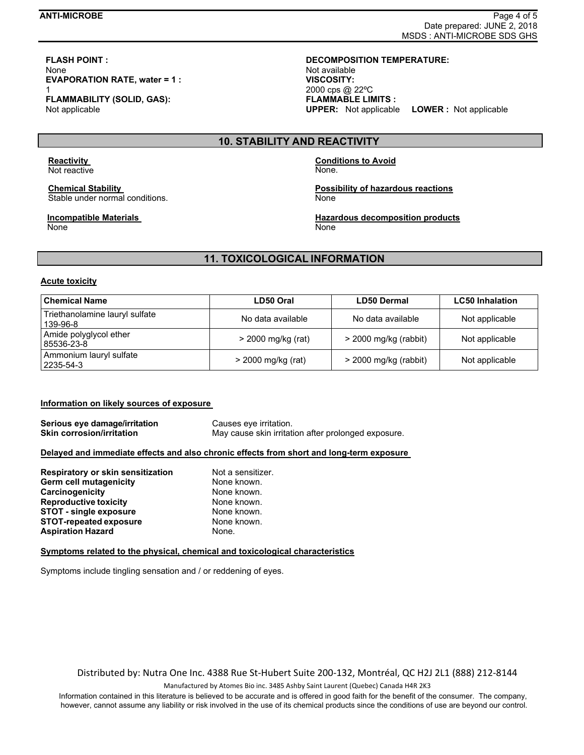## **FLASH POINT : DECOMPOSITION TEMPERATURE:**  None Not available Not available not be a set of the Not available not available not be a set of the Not available **EVAPORATION RATE, water = 1 : VISCOSITY: FLAMMABILITY (SOLID, GAS):**

Not applicable

## 1 2000 cps @ 22ºC **FLAMMABLE LIMITS : UPPER:** Not applicable **LOWER :** Not applicable

#### **10. STABILITY AND REACTIVITY**

Not reactive None.

Stable under normal conditions. The state of the state of the None

## None None

## **Reactivity Conditions to Avoid**

**Chemical Stability Chemical Stability Chemical Stability of hazardous reactions** 

**Incompatible Materials Music Composition Accomposition decomposition products** 

#### **11. TOXICOLOGICAL INFORMATION**

#### **Acute toxicity**

| <b>Chemical Name</b>                       | LD50 Oral          | LD50 Dermal             | <b>LC50 Inhalation</b> |
|--------------------------------------------|--------------------|-------------------------|------------------------|
| Triethanolamine lauryl sulfate<br>139-96-8 | No data available  | No data available       | Not applicable         |
| Amide polyglycol ether<br>85536-23-8       | > 2000 mg/kg (rat) | $>$ 2000 mg/kg (rabbit) | Not applicable         |
| Ammonium lauryl sulfate<br>2235-54-3       | > 2000 mg/kg (rat) | $>$ 2000 mg/kg (rabbit) | Not applicable         |

#### **Information on likely sources of exposure**

**Serious eye damage/irritation Causes eye irritation. Skin corrosion/irritation <b>May cause skin** irritation after prolonged exposure.

#### **Delayed and immediate effects and also chronic effects from short and long-term exposure**

| Respiratory or skin sensitization | Not a sensitizer. |  |
|-----------------------------------|-------------------|--|
| <b>Germ cell mutagenicity</b>     | None known.       |  |
| Carcinogenicity                   | None known.       |  |
| <b>Reproductive toxicity</b>      | None known.       |  |
| <b>STOT - single exposure</b>     | None known.       |  |
| <b>STOT-repeated exposure</b>     | None known.       |  |
| <b>Aspiration Hazard</b>          | None.             |  |

#### **Symptoms related to the physical, chemical and toxicological characteristics**

Symptoms include tingling sensation and / or reddening of eyes.

Distributed by: Nutra One Inc. 4388 Rue St‐Hubert Suite 200‐132, Montréal, QC H2J 2L1 (888) 212‐8144

Manufactured by Atomes Bio inc. 3485 Ashby Saint Laurent (Quebec) Canada H4R 2K3